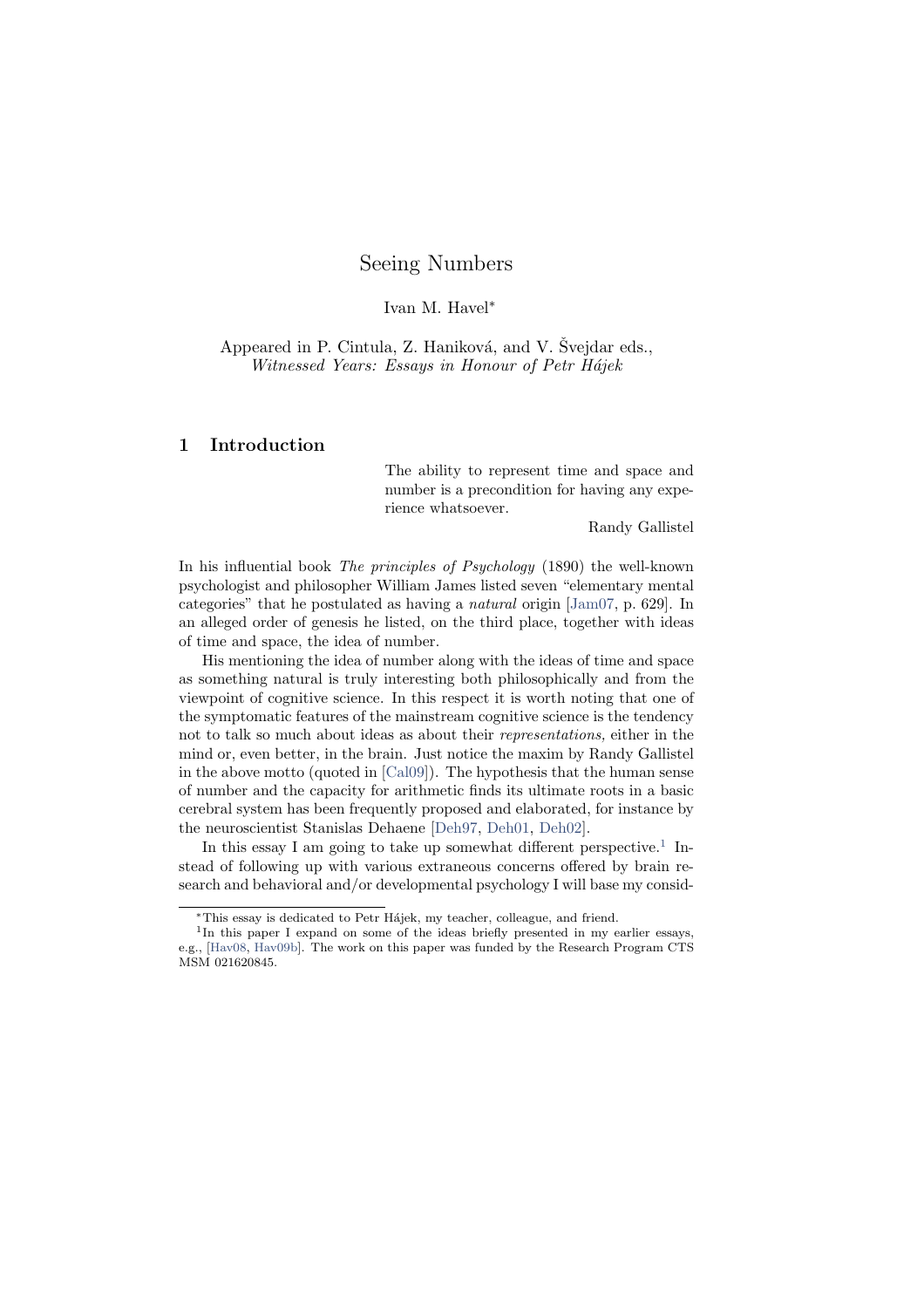#### Ivan M. Havel<sup>∗</sup>

Appeared in P. Cintula, Z. Haniková, and V. Švejdar eds., Witnessed Years: Essays in Honour of Petr Hájek

# 1 Introduction

The ability to represent time and space and number is a precondition for having any experience whatsoever.

Randy Gallistel

In his influential book The principles of Psychology (1890) the well-known psychologist and philosopher William James listed seven "elementary mental categories" that he postulated as having a natural origin [\[Jam07,](#page-15-0) p. 629]. In an alleged order of genesis he listed, on the third place, together with ideas of time and space, the idea of number.

His mentioning the idea of number along with the ideas of time and space as something natural is truly interesting both philosophically and from the viewpoint of cognitive science. In this respect it is worth noting that one of the symptomatic features of the mainstream cognitive science is the tendency not to talk so much about ideas as about their representations, either in the mind or, even better, in the brain. Just notice the maxim by Randy Gallistel in the above motto (quoted in [\[Cal09\]](#page-15-1)). The hypothesis that the human sense of number and the capacity for arithmetic finds its ultimate roots in a basic cerebral system has been frequently proposed and elaborated, for instance by the neuroscientist Stanislas Dehaene [\[Deh97,](#page-15-2) [Deh01,](#page-15-3) [Deh02\]](#page-15-4).

In this essay I am going to take up somewhat different perspective.<sup>[1](#page-0-0)</sup> Instead of following up with various extraneous concerns offered by brain research and behavioral and/or developmental psychology I will base my consid-

<span id="page-0-0"></span><sup>∗</sup>This essay is dedicated to Petr H´ajek, my teacher, colleague, and friend.

<sup>&</sup>lt;sup>1</sup>In this paper I expand on some of the ideas briefly presented in my earlier essays, e.g., [\[Hav08,](#page-15-5) [Hav09b\]](#page-15-6). The work on this paper was funded by the Research Program CTS MSM 021620845.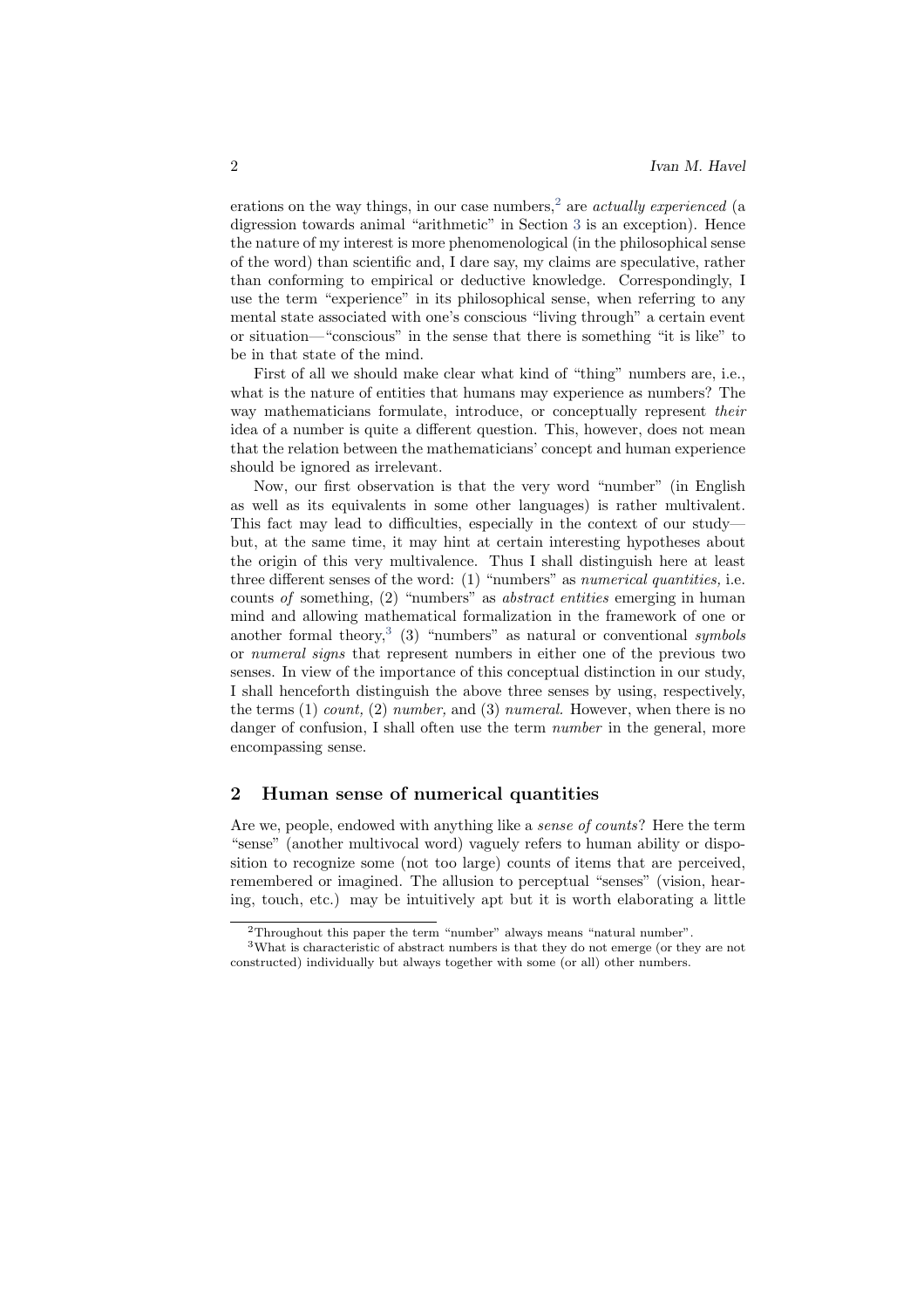erations on the way things, in our case numbers,<sup>[2](#page-1-0)</sup> are *actually experienced* (a digression towards animal "arithmetic" in Section [3](#page-4-0) is an exception). Hence the nature of my interest is more phenomenological (in the philosophical sense of the word) than scientific and, I dare say, my claims are speculative, rather than conforming to empirical or deductive knowledge. Correspondingly, I use the term "experience" in its philosophical sense, when referring to any mental state associated with one's conscious "living through" a certain event or situation—"conscious" in the sense that there is something "it is like" to be in that state of the mind.

First of all we should make clear what kind of "thing" numbers are, i.e., what is the nature of entities that humans may experience as numbers? The way mathematicians formulate, introduce, or conceptually represent their idea of a number is quite a different question. This, however, does not mean that the relation between the mathematicians' concept and human experience should be ignored as irrelevant.

Now, our first observation is that the very word "number" (in English as well as its equivalents in some other languages) is rather multivalent. This fact may lead to difficulties, especially in the context of our study but, at the same time, it may hint at certain interesting hypotheses about the origin of this very multivalence. Thus I shall distinguish here at least three different senses of the word: (1) "numbers" as numerical quantities, i.e. counts of something, (2) "numbers" as abstract entities emerging in human mind and allowing mathematical formalization in the framework of one or another formal theory,<sup>[3](#page-1-1)</sup> (3) "numbers" as natural or conventional symbols or numeral signs that represent numbers in either one of the previous two senses. In view of the importance of this conceptual distinction in our study, I shall henceforth distinguish the above three senses by using, respectively, the terms  $(1)$  count,  $(2)$  number, and  $(3)$  numeral. However, when there is no danger of confusion, I shall often use the term *number* in the general, more encompassing sense.

# <span id="page-1-2"></span>2 Human sense of numerical quantities

Are we, people, endowed with anything like a sense of counts? Here the term "sense" (another multivocal word) vaguely refers to human ability or disposition to recognize some (not too large) counts of items that are perceived, remembered or imagined. The allusion to perceptual "senses" (vision, hearing, touch, etc.) may be intuitively apt but it is worth elaborating a little

<span id="page-1-1"></span><span id="page-1-0"></span><sup>2</sup>Throughout this paper the term "number" always means "natural number".

<sup>3</sup>What is characteristic of abstract numbers is that they do not emerge (or they are not constructed) individually but always together with some (or all) other numbers.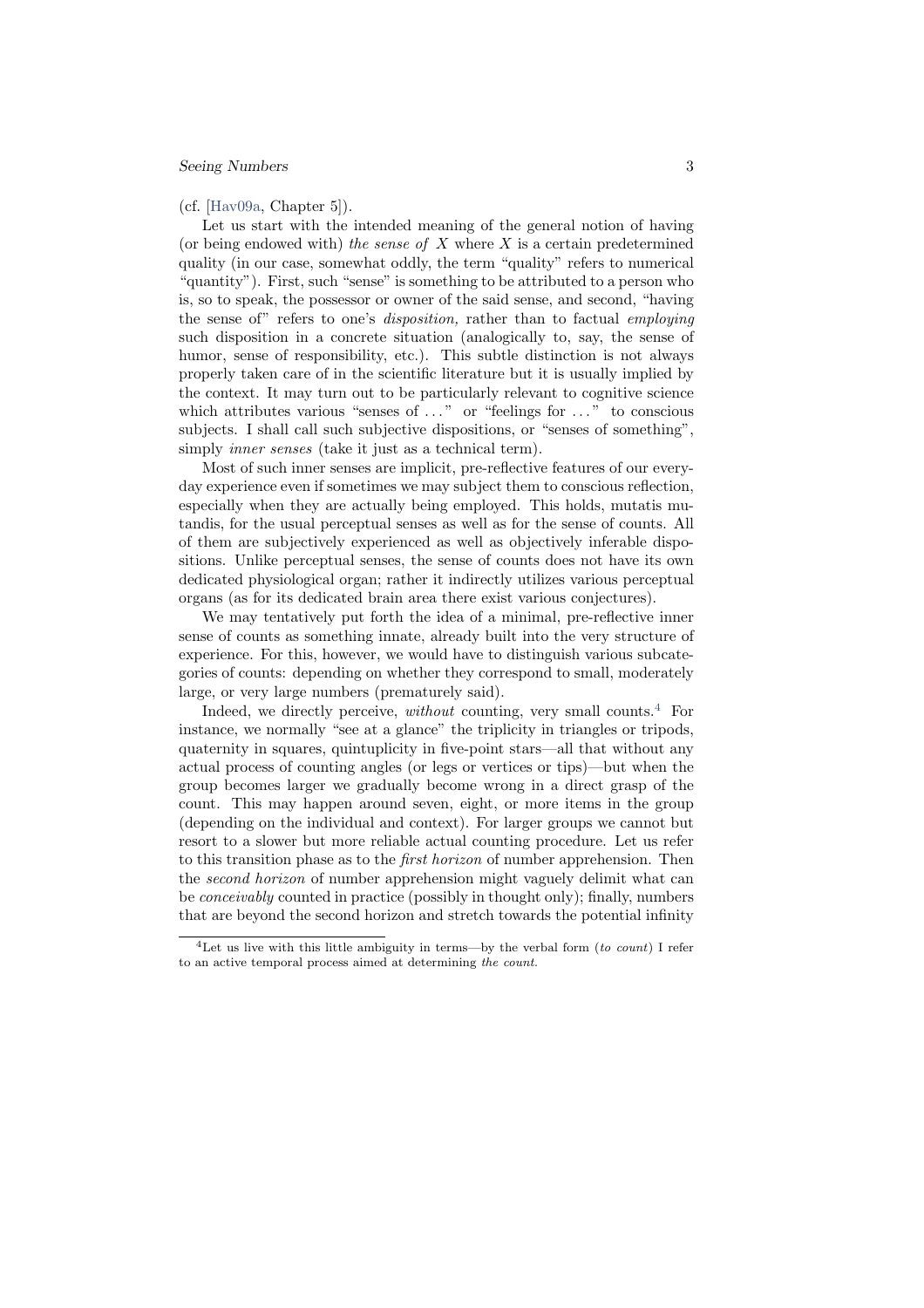#### (cf. [\[Hav09a,](#page-15-7) Chapter 5]).

Let us start with the intended meaning of the general notion of having (or being endowed with) the sense of  $X$  where  $X$  is a certain predetermined quality (in our case, somewhat oddly, the term "quality" refers to numerical "quantity"). First, such "sense" is something to be attributed to a person who is, so to speak, the possessor or owner of the said sense, and second, "having the sense of" refers to one's disposition, rather than to factual employing such disposition in a concrete situation (analogically to, say, the sense of humor, sense of responsibility, etc.). This subtle distinction is not always properly taken care of in the scientific literature but it is usually implied by the context. It may turn out to be particularly relevant to cognitive science which attributes various "senses of  $\dots$ " or "feelings for  $\dots$ " to conscious subjects. I shall call such subjective dispositions, or "senses of something", simply *inner senses* (take it just as a technical term).

Most of such inner senses are implicit, pre-reflective features of our everyday experience even if sometimes we may subject them to conscious reflection, especially when they are actually being employed. This holds, mutatis mutandis, for the usual perceptual senses as well as for the sense of counts. All of them are subjectively experienced as well as objectively inferable dispositions. Unlike perceptual senses, the sense of counts does not have its own dedicated physiological organ; rather it indirectly utilizes various perceptual organs (as for its dedicated brain area there exist various conjectures).

We may tentatively put forth the idea of a minimal, pre-reflective inner sense of counts as something innate, already built into the very structure of experience. For this, however, we would have to distinguish various subcategories of counts: depending on whether they correspond to small, moderately large, or very large numbers (prematurely said).

Indeed, we directly perceive, *without* counting, very small counts.<sup>[4](#page-2-0)</sup> For instance, we normally "see at a glance" the triplicity in triangles or tripods, quaternity in squares, quintuplicity in five-point stars—all that without any actual process of counting angles (or legs or vertices or tips)—but when the group becomes larger we gradually become wrong in a direct grasp of the count. This may happen around seven, eight, or more items in the group (depending on the individual and context). For larger groups we cannot but resort to a slower but more reliable actual counting procedure. Let us refer to this transition phase as to the first horizon of number apprehension. Then the second horizon of number apprehension might vaguely delimit what can be conceivably counted in practice (possibly in thought only); finally, numbers that are beyond the second horizon and stretch towards the potential infinity

<span id="page-2-0"></span><sup>4</sup>Let us live with this little ambiguity in terms—by the verbal form (to count) I refer to an active temporal process aimed at determining the count.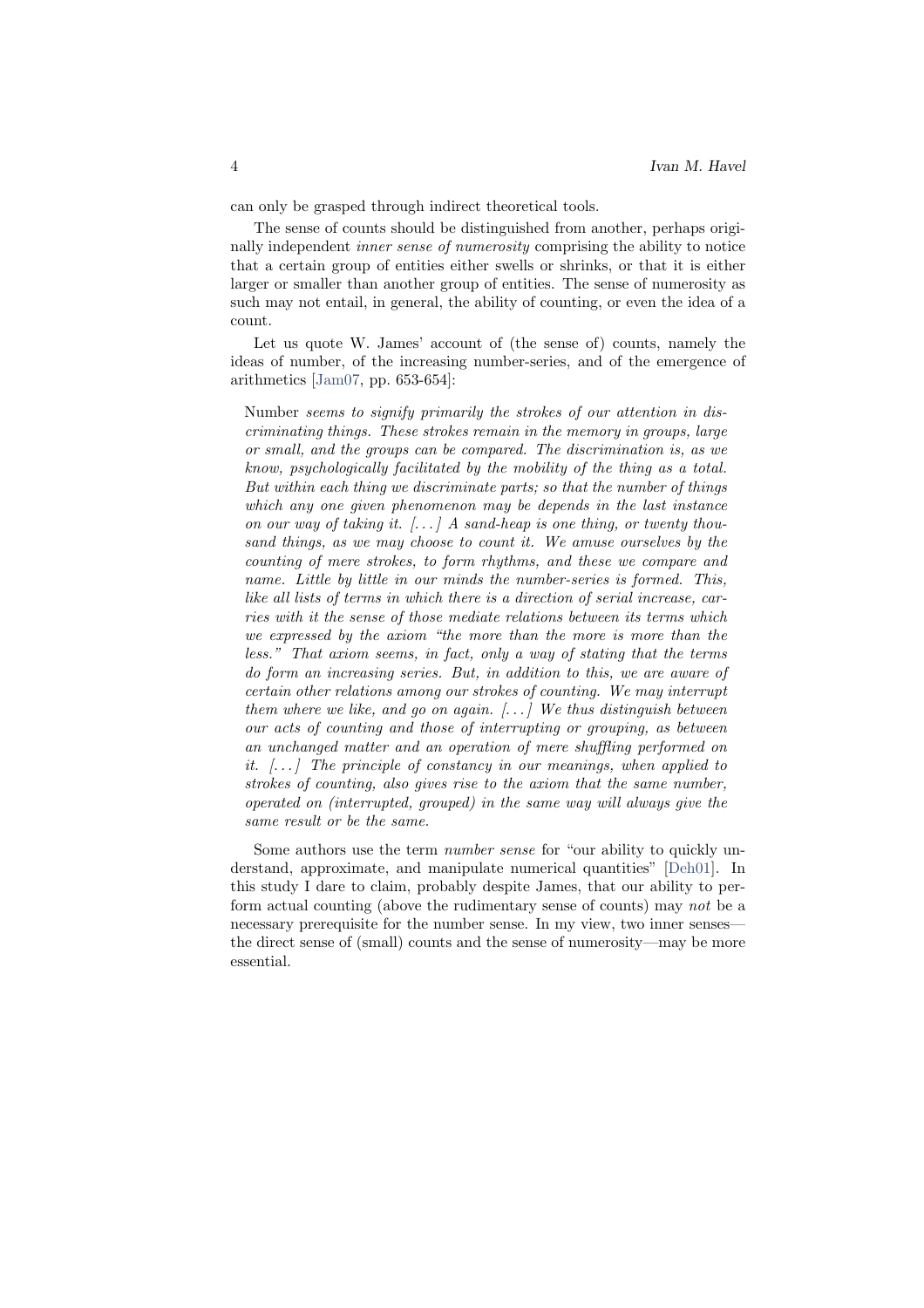can only be grasped through indirect theoretical tools.

The sense of counts should be distinguished from another, perhaps originally independent inner sense of numerosity comprising the ability to notice that a certain group of entities either swells or shrinks, or that it is either larger or smaller than another group of entities. The sense of numerosity as such may not entail, in general, the ability of counting, or even the idea of a count.

Let us quote W. James' account of (the sense of) counts, namely the ideas of number, of the increasing number-series, and of the emergence of arithmetics [\[Jam07,](#page-15-0) pp. 653-654]:

Number seems to signify primarily the strokes of our attention in discriminating things. These strokes remain in the memory in groups, large or small, and the groups can be compared. The discrimination is, as we know, psychologically facilitated by the mobility of the thing as a total. But within each thing we discriminate parts; so that the number of things which any one given phenomenon may be depends in the last instance on our way of taking it.  $\left[ \ldots \right]$  A sand-heap is one thing, or twenty thousand things, as we may choose to count it. We amuse ourselves by the counting of mere strokes, to form rhythms, and these we compare and name. Little by little in our minds the number-series is formed. This, like all lists of terms in which there is a direction of serial increase, carries with it the sense of those mediate relations between its terms which we expressed by the axiom "the more than the more is more than the less." That axiom seems, in fact, only a way of stating that the terms do form an increasing series. But, in addition to this, we are aware of certain other relations among our strokes of counting. We may interrupt them where we like, and go on again.  $[\ldots]$  We thus distinguish between our acts of counting and those of interrupting or grouping, as between an unchanged matter and an operation of mere shuffling performed on it.  $\lceil \ldots \rceil$  The principle of constancy in our meanings, when applied to strokes of counting, also gives rise to the axiom that the same number, operated on (interrupted, grouped) in the same way will always give the same result or be the same.

Some authors use the term number sense for "our ability to quickly understand, approximate, and manipulate numerical quantities" [\[Deh01\]](#page-15-3). In this study I dare to claim, probably despite James, that our ability to perform actual counting (above the rudimentary sense of counts) may not be a necessary prerequisite for the number sense. In my view, two inner senses the direct sense of (small) counts and the sense of numerosity—may be more essential.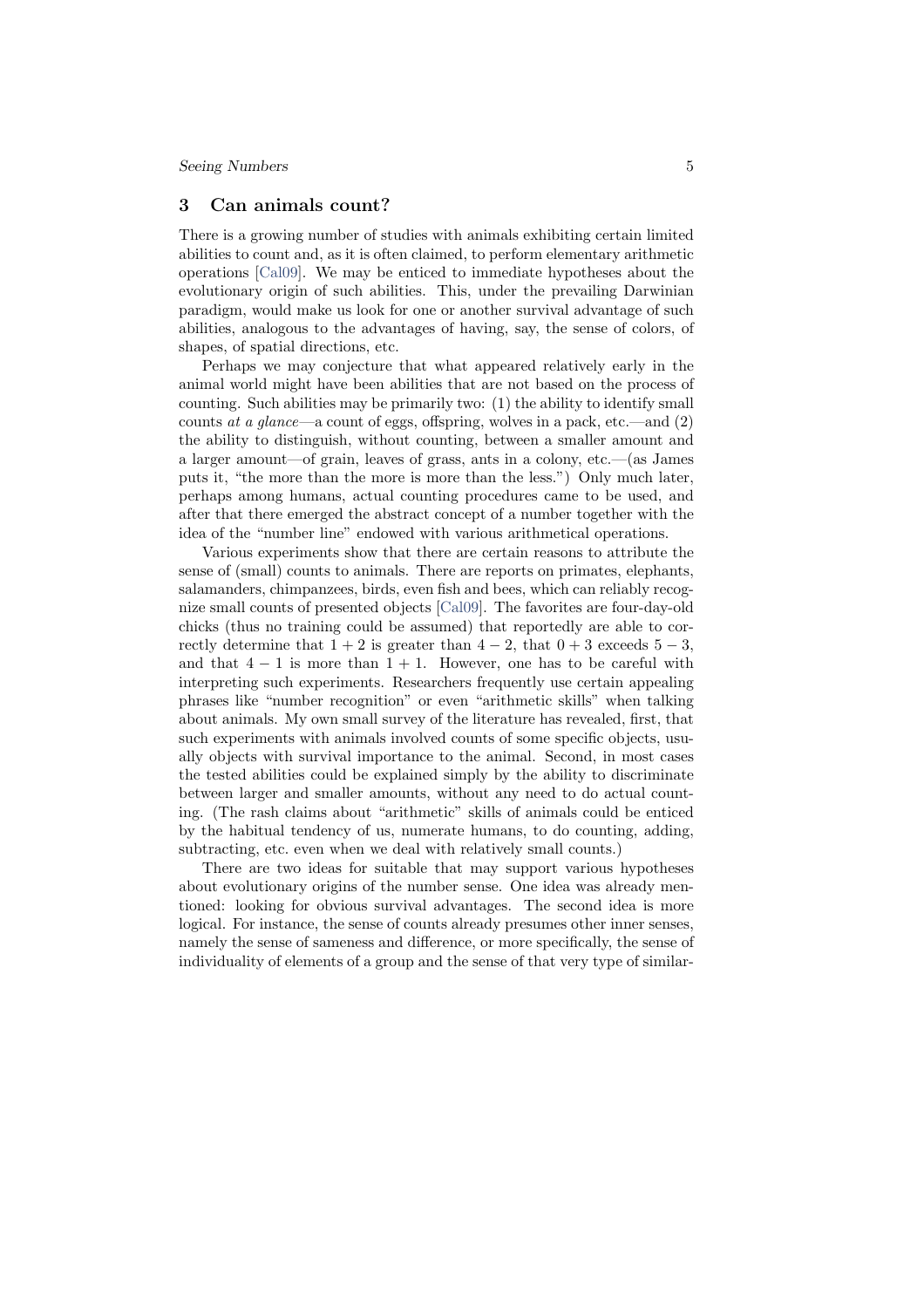## <span id="page-4-0"></span>3 Can animals count?

There is a growing number of studies with animals exhibiting certain limited abilities to count and, as it is often claimed, to perform elementary arithmetic operations [\[Cal09\]](#page-15-1). We may be enticed to immediate hypotheses about the evolutionary origin of such abilities. This, under the prevailing Darwinian paradigm, would make us look for one or another survival advantage of such abilities, analogous to the advantages of having, say, the sense of colors, of shapes, of spatial directions, etc.

Perhaps we may conjecture that what appeared relatively early in the animal world might have been abilities that are not based on the process of counting. Such abilities may be primarily two: (1) the ability to identify small counts at a glance—a count of eggs, offspring, wolves in a pack, etc.—and  $(2)$ the ability to distinguish, without counting, between a smaller amount and a larger amount—of grain, leaves of grass, ants in a colony, etc.—(as James puts it, "the more than the more is more than the less.") Only much later, perhaps among humans, actual counting procedures came to be used, and after that there emerged the abstract concept of a number together with the idea of the "number line" endowed with various arithmetical operations.

Various experiments show that there are certain reasons to attribute the sense of (small) counts to animals. There are reports on primates, elephants, salamanders, chimpanzees, birds, even fish and bees, which can reliably recognize small counts of presented objects [\[Cal09\]](#page-15-1). The favorites are four-day-old chicks (thus no training could be assumed) that reportedly are able to correctly determine that  $1 + 2$  is greater than  $4 - 2$ , that  $0 + 3$  exceeds  $5 - 3$ , and that  $4 - 1$  is more than  $1 + 1$ . However, one has to be careful with interpreting such experiments. Researchers frequently use certain appealing phrases like "number recognition" or even "arithmetic skills" when talking about animals. My own small survey of the literature has revealed, first, that such experiments with animals involved counts of some specific objects, usually objects with survival importance to the animal. Second, in most cases the tested abilities could be explained simply by the ability to discriminate between larger and smaller amounts, without any need to do actual counting. (The rash claims about "arithmetic" skills of animals could be enticed by the habitual tendency of us, numerate humans, to do counting, adding, subtracting, etc. even when we deal with relatively small counts.)

There are two ideas for suitable that may support various hypotheses about evolutionary origins of the number sense. One idea was already mentioned: looking for obvious survival advantages. The second idea is more logical. For instance, the sense of counts already presumes other inner senses, namely the sense of sameness and difference, or more specifically, the sense of individuality of elements of a group and the sense of that very type of similar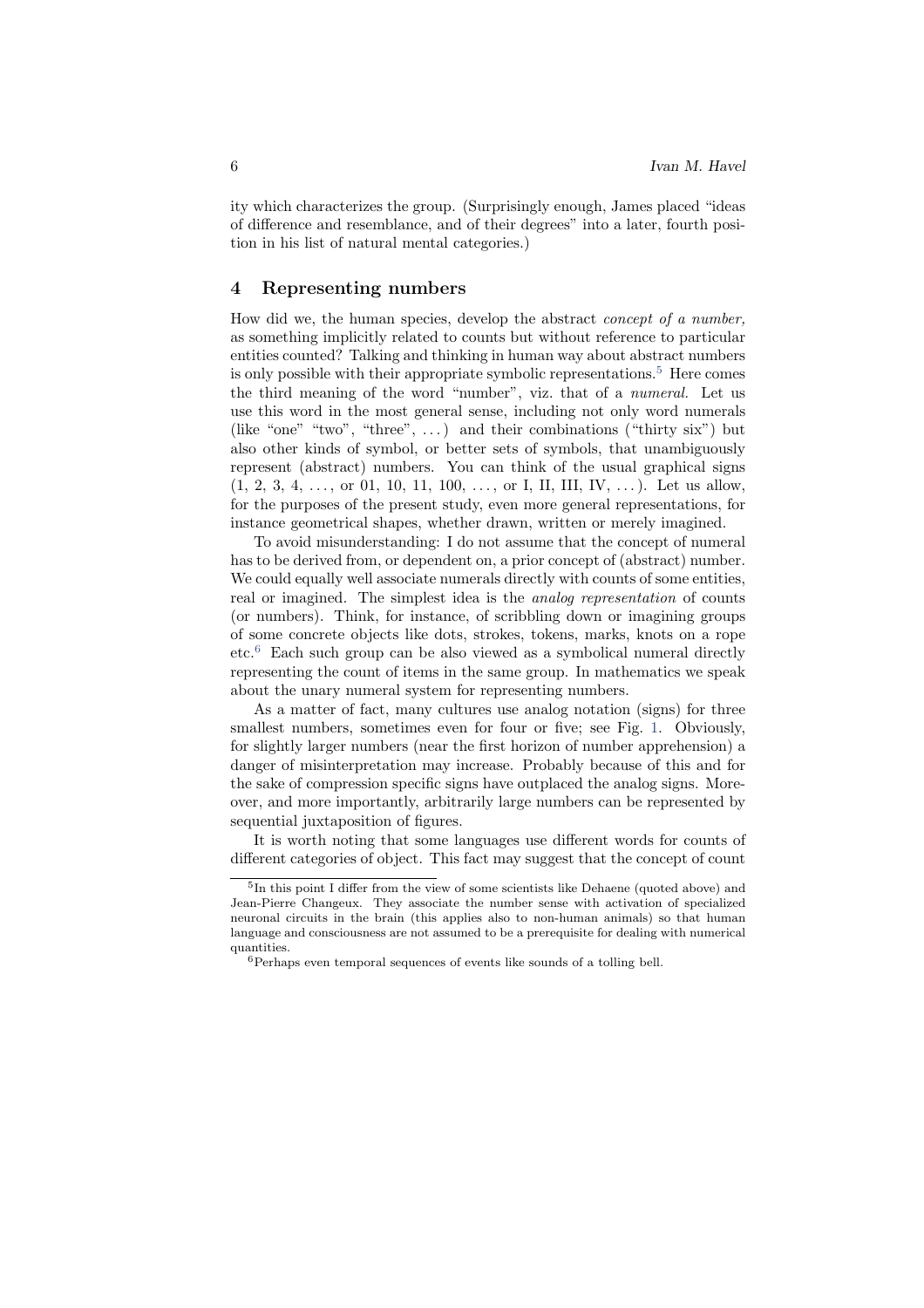ity which characterizes the group. (Surprisingly enough, James placed "ideas of difference and resemblance, and of their degrees" into a later, fourth position in his list of natural mental categories.)

# 4 Representing numbers

How did we, the human species, develop the abstract concept of a number, as something implicitly related to counts but without reference to particular entities counted? Talking and thinking in human way about abstract numbers is only possible with their appropriate symbolic representations.<sup>[5](#page-5-0)</sup> Here comes the third meaning of the word "number", viz. that of a numeral. Let us use this word in the most general sense, including not only word numerals (like "one" "two", "three", ...) and their combinations ("thirty six") but also other kinds of symbol, or better sets of symbols, that unambiguously represent (abstract) numbers. You can think of the usual graphical signs  $(1, 2, 3, 4, \ldots, \text{ or } 01, 10, 11, 100, \ldots, \text{ or } I, II, III, IV, \ldots).$  Let us allow, for the purposes of the present study, even more general representations, for instance geometrical shapes, whether drawn, written or merely imagined.

To avoid misunderstanding: I do not assume that the concept of numeral has to be derived from, or dependent on, a prior concept of (abstract) number. We could equally well associate numerals directly with counts of some entities, real or imagined. The simplest idea is the analog representation of counts (or numbers). Think, for instance, of scribbling down or imagining groups of some concrete objects like dots, strokes, tokens, marks, knots on a rope etc.[6](#page-5-1) Each such group can be also viewed as a symbolical numeral directly representing the count of items in the same group. In mathematics we speak about the unary numeral system for representing numbers.

As a matter of fact, many cultures use analog notation (signs) for three smallest numbers, sometimes even for four or five; see Fig. [1.](#page-6-0) Obviously, for slightly larger numbers (near the first horizon of number apprehension) a danger of misinterpretation may increase. Probably because of this and for the sake of compression specific signs have outplaced the analog signs. Moreover, and more importantly, arbitrarily large numbers can be represented by sequential juxtaposition of figures.

It is worth noting that some languages use different words for counts of different categories of object. This fact may suggest that the concept of count

<span id="page-5-0"></span><sup>&</sup>lt;sup>5</sup>In this point I differ from the view of some scientists like Dehaene (quoted above) and Jean-Pierre Changeux. They associate the number sense with activation of specialized neuronal circuits in the brain (this applies also to non-human animals) so that human language and consciousness are not assumed to be a prerequisite for dealing with numerical quantities.

<span id="page-5-1"></span><sup>6</sup>Perhaps even temporal sequences of events like sounds of a tolling bell.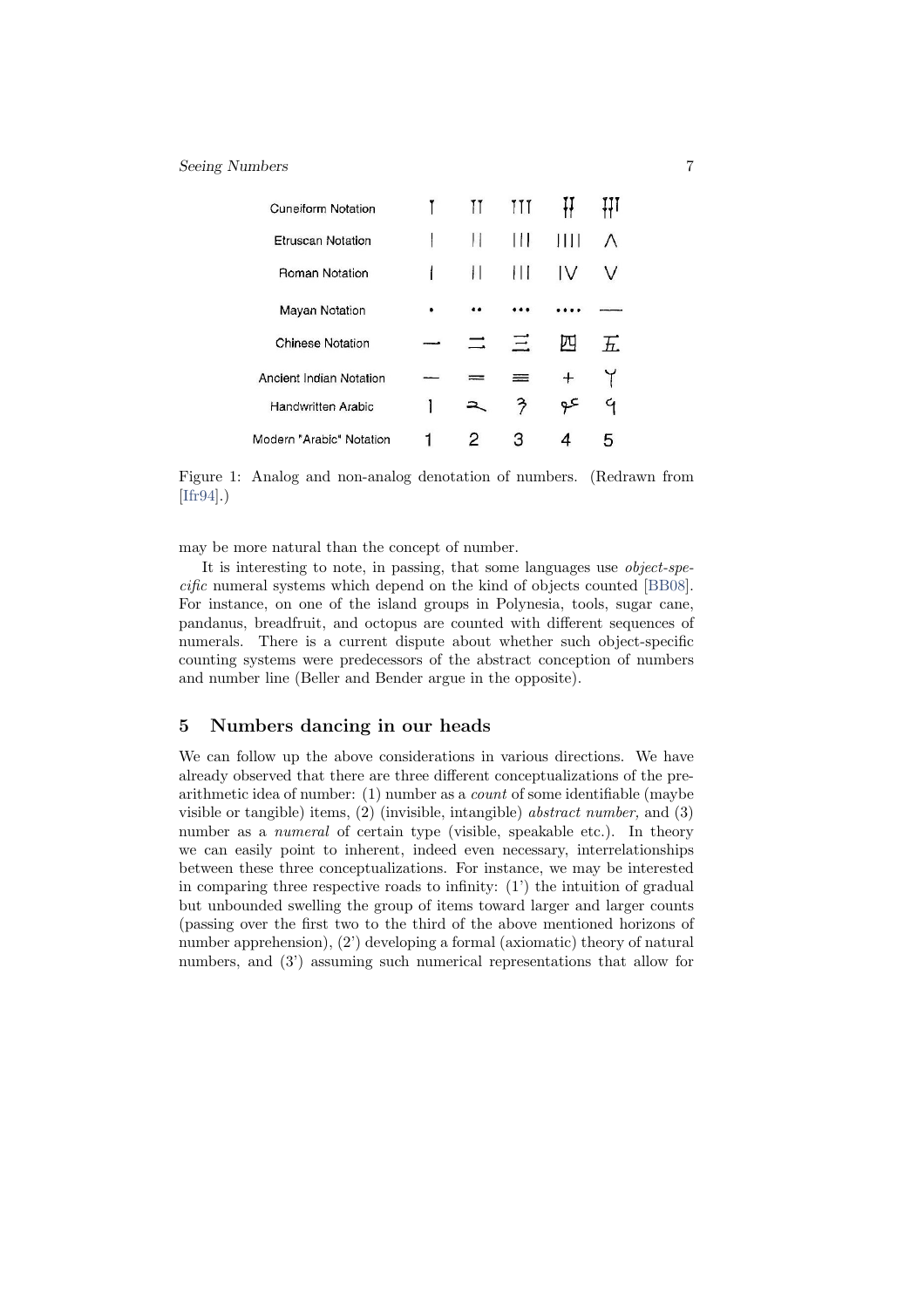| <b>Cuneiform Notation</b> | Н             | Ш |        |    |
|---------------------------|---------------|---|--------|----|
| Etruscan Notation         |               | Ш |        | Λ  |
| <b>Roman Notation</b>     | $\mathbf{  }$ | Ħ | IV     | V  |
| Mayan Notation            |               |   |        |    |
| Chinese Notation          |               |   |        | h. |
| Ancient Indian Notation   |               |   | $^{+}$ |    |
| <b>Handwritten Arabic</b> |               |   |        | Ч  |
| Modern "Arabic" Notation  |               |   |        |    |

<span id="page-6-0"></span>Figure 1: Analog and non-analog denotation of numbers. (Redrawn from  $[Ifr94]$ .)

may be more natural than the concept of number.

It is interesting to note, in passing, that some languages use object-specific numeral systems which depend on the kind of objects counted [\[BB08\]](#page-15-9). For instance, on one of the island groups in Polynesia, tools, sugar cane, pandanus, breadfruit, and octopus are counted with different sequences of numerals. There is a current dispute about whether such object-specific counting systems were predecessors of the abstract conception of numbers and number line (Beller and Bender argue in the opposite).

# <span id="page-6-1"></span>5 Numbers dancing in our heads

We can follow up the above considerations in various directions. We have already observed that there are three different conceptualizations of the prearithmetic idea of number: (1) number as a count of some identifiable (maybe visible or tangible) items, (2) (invisible, intangible) abstract number, and (3) number as a *numeral* of certain type (visible, speakable etc.). In theory we can easily point to inherent, indeed even necessary, interrelationships between these three conceptualizations. For instance, we may be interested in comparing three respective roads to infinity:  $(1')$  the intuition of gradual but unbounded swelling the group of items toward larger and larger counts (passing over the first two to the third of the above mentioned horizons of number apprehension), (2') developing a formal (axiomatic) theory of natural numbers, and (3') assuming such numerical representations that allow for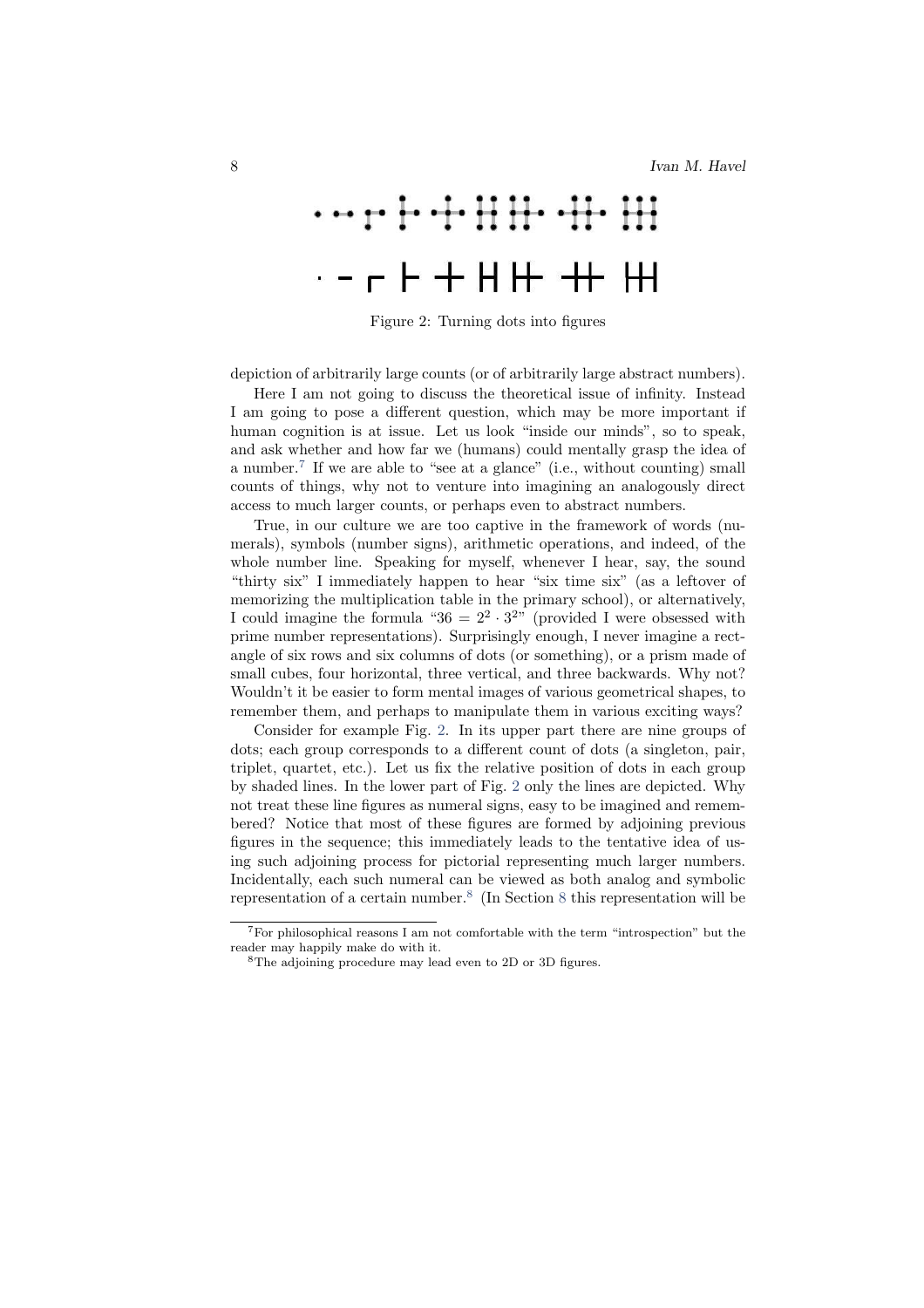

<span id="page-7-1"></span>Figure 2: Turning dots into figures

depiction of arbitrarily large counts (or of arbitrarily large abstract numbers).

Here I am not going to discuss the theoretical issue of infinity. Instead I am going to pose a different question, which may be more important if human cognition is at issue. Let us look "inside our minds", so to speak, and ask whether and how far we (humans) could mentally grasp the idea of a number.[7](#page-7-0) If we are able to "see at a glance" (i.e., without counting) small counts of things, why not to venture into imagining an analogously direct access to much larger counts, or perhaps even to abstract numbers.

True, in our culture we are too captive in the framework of words (numerals), symbols (number signs), arithmetic operations, and indeed, of the whole number line. Speaking for myself, whenever I hear, say, the sound "thirty six" I immediately happen to hear "six time six" (as a leftover of memorizing the multiplication table in the primary school), or alternatively, I could imagine the formula " $36 = 2^2 \cdot 3^{2}$ " (provided I were obsessed with prime number representations). Surprisingly enough, I never imagine a rectangle of six rows and six columns of dots (or something), or a prism made of small cubes, four horizontal, three vertical, and three backwards. Why not? Wouldn't it be easier to form mental images of various geometrical shapes, to remember them, and perhaps to manipulate them in various exciting ways?

Consider for example Fig. [2.](#page-7-1) In its upper part there are nine groups of dots; each group corresponds to a different count of dots (a singleton, pair, triplet, quartet, etc.). Let us fix the relative position of dots in each group by shaded lines. In the lower part of Fig. [2](#page-7-1) only the lines are depicted. Why not treat these line figures as numeral signs, easy to be imagined and remembered? Notice that most of these figures are formed by adjoining previous figures in the sequence; this immediately leads to the tentative idea of using such adjoining process for pictorial representing much larger numbers. Incidentally, each such numeral can be viewed as both analog and symbolic representation of a certain number.<sup>[8](#page-11-0)</sup> (In Section 8 this representation will be

<span id="page-7-0"></span><sup>7</sup>For philosophical reasons I am not comfortable with the term "introspection" but the reader may happily make do with it.

<span id="page-7-2"></span><sup>8</sup>The adjoining procedure may lead even to 2D or 3D figures.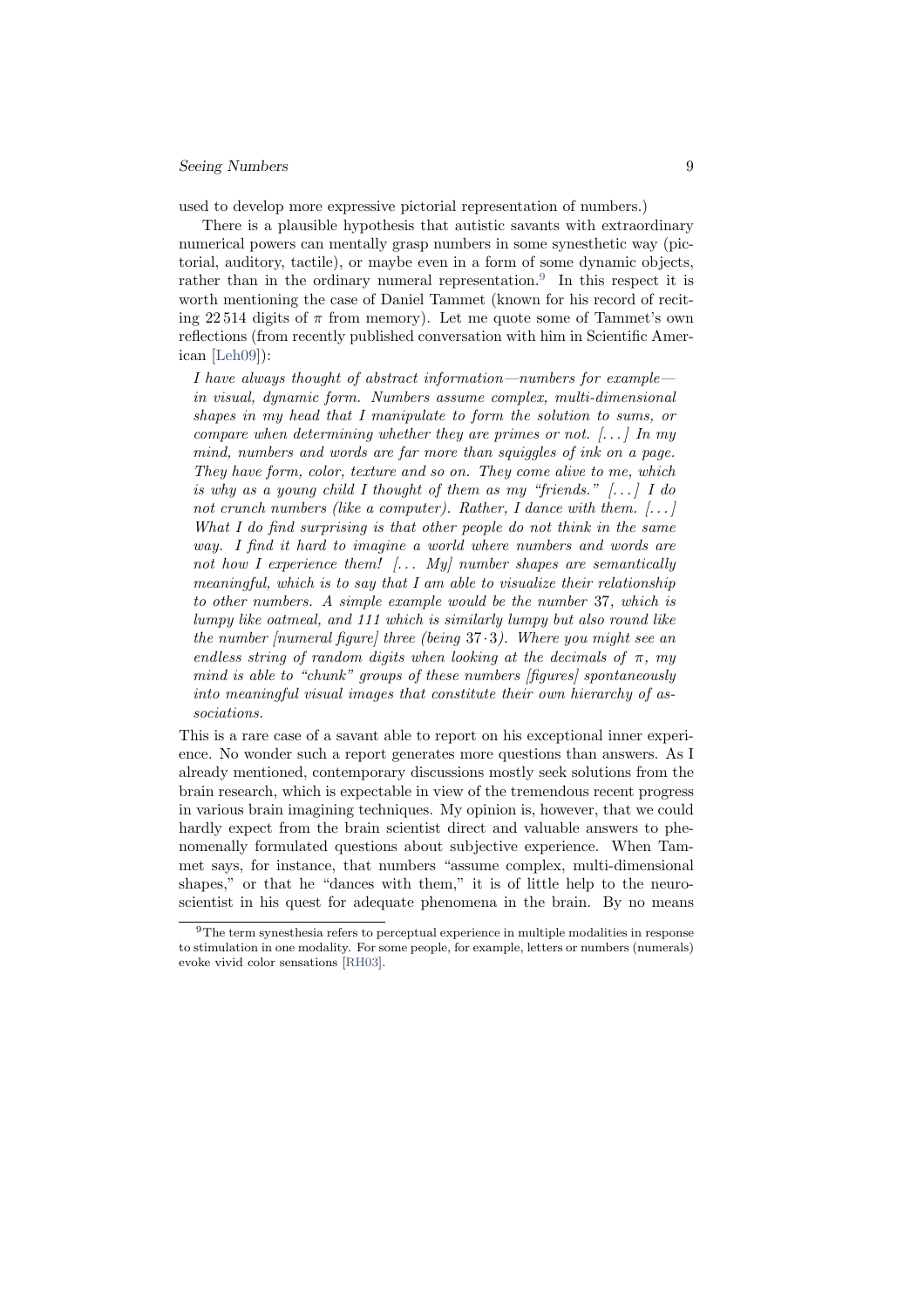used to develop more expressive pictorial representation of numbers.)

There is a plausible hypothesis that autistic savants with extraordinary numerical powers can mentally grasp numbers in some synesthetic way (pictorial, auditory, tactile), or maybe even in a form of some dynamic objects, rather than in the ordinary numeral representation.<sup>[9](#page-8-0)</sup> In this respect it is worth mentioning the case of Daniel Tammet (known for his record of reciting 22.514 digits of  $\pi$  from memory). Let me quote some of Tammet's own reflections (from recently published conversation with him in Scientific American [\[Leh09\]](#page-15-10)):

I have always thought of abstract information—numbers for example in visual, dynamic form. Numbers assume complex, multi-dimensional shapes in my head that I manipulate to form the solution to sums, or compare when determining whether they are primes or not.  $[...]$  In my mind, numbers and words are far more than squiggles of ink on a page. They have form, color, texture and so on. They come alive to me, which is why as a young child I thought of them as my "friends."  $[\dots]$  I do not crunch numbers (like a computer). Rather, I dance with them.  $[\dots]$ What I do find surprising is that other people do not think in the same way. I find it hard to imagine a world where numbers and words are not how I experience them!  $[...$  My] number shapes are semantically meaningful, which is to say that I am able to visualize their relationship to other numbers. A simple example would be the number 37, which is lumpy like oatmeal, and 111 which is similarly lumpy but also round like the number [numeral figure] three (being  $37·3$ ). Where you might see an endless string of random digits when looking at the decimals of  $\pi$ , my mind is able to "chunk" groups of these numbers [figures] spontaneously into meaningful visual images that constitute their own hierarchy of associations.

This is a rare case of a savant able to report on his exceptional inner experience. No wonder such a report generates more questions than answers. As I already mentioned, contemporary discussions mostly seek solutions from the brain research, which is expectable in view of the tremendous recent progress in various brain imagining techniques. My opinion is, however, that we could hardly expect from the brain scientist direct and valuable answers to phenomenally formulated questions about subjective experience. When Tammet says, for instance, that numbers "assume complex, multi-dimensional shapes," or that he "dances with them," it is of little help to the neuroscientist in his quest for adequate phenomena in the brain. By no means

<span id="page-8-0"></span><sup>&</sup>lt;sup>9</sup>The term synesthesia refers to perceptual experience in multiple modalities in response to stimulation in one modality. For some people, for example, letters or numbers (numerals) evoke vivid color sensations [\[RH03\]](#page-15-11).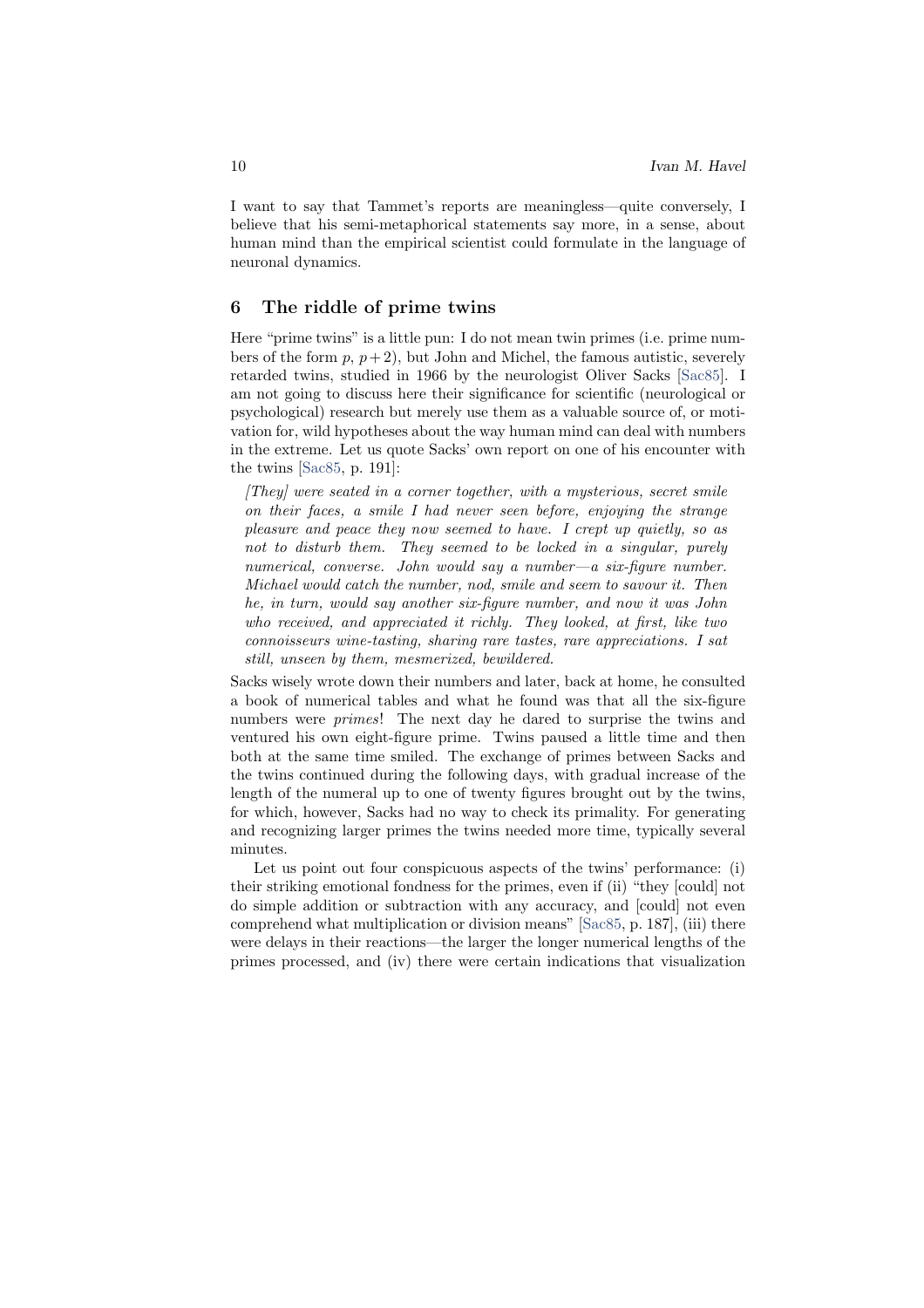I want to say that Tammet's reports are meaningless—quite conversely, I believe that his semi-metaphorical statements say more, in a sense, about human mind than the empirical scientist could formulate in the language of neuronal dynamics.

# 6 The riddle of prime twins

Here "prime twins" is a little pun: I do not mean twin primes (i.e. prime numbers of the form  $p, p+2$ , but John and Michel, the famous autistic, severely retarded twins, studied in 1966 by the neurologist Oliver Sacks [\[Sac85\]](#page-15-12). I am not going to discuss here their significance for scientific (neurological or psychological) research but merely use them as a valuable source of, or motivation for, wild hypotheses about the way human mind can deal with numbers in the extreme. Let us quote Sacks' own report on one of his encounter with the twins [\[Sac85,](#page-15-12) p. 191]:

[They] were seated in a corner together, with a mysterious, secret smile on their faces, a smile I had never seen before, enjoying the strange pleasure and peace they now seemed to have. I crept up quietly, so as not to disturb them. They seemed to be locked in a singular, purely numerical, converse. John would say a number—a six-figure number. Michael would catch the number, nod, smile and seem to savour it. Then he, in turn, would say another six-figure number, and now it was John who received, and appreciated it richly. They looked, at first, like two connoisseurs wine-tasting, sharing rare tastes, rare appreciations. I sat still, unseen by them, mesmerized, bewildered.

Sacks wisely wrote down their numbers and later, back at home, he consulted a book of numerical tables and what he found was that all the six-figure numbers were primes! The next day he dared to surprise the twins and ventured his own eight-figure prime. Twins paused a little time and then both at the same time smiled. The exchange of primes between Sacks and the twins continued during the following days, with gradual increase of the length of the numeral up to one of twenty figures brought out by the twins, for which, however, Sacks had no way to check its primality. For generating and recognizing larger primes the twins needed more time, typically several minutes.

Let us point out four conspicuous aspects of the twins' performance: (i) their striking emotional fondness for the primes, even if (ii) "they [could] not do simple addition or subtraction with any accuracy, and [could] not even comprehend what multiplication or division means" [\[Sac85,](#page-15-12) p. 187], (iii) there were delays in their reactions—the larger the longer numerical lengths of the primes processed, and (iv) there were certain indications that visualization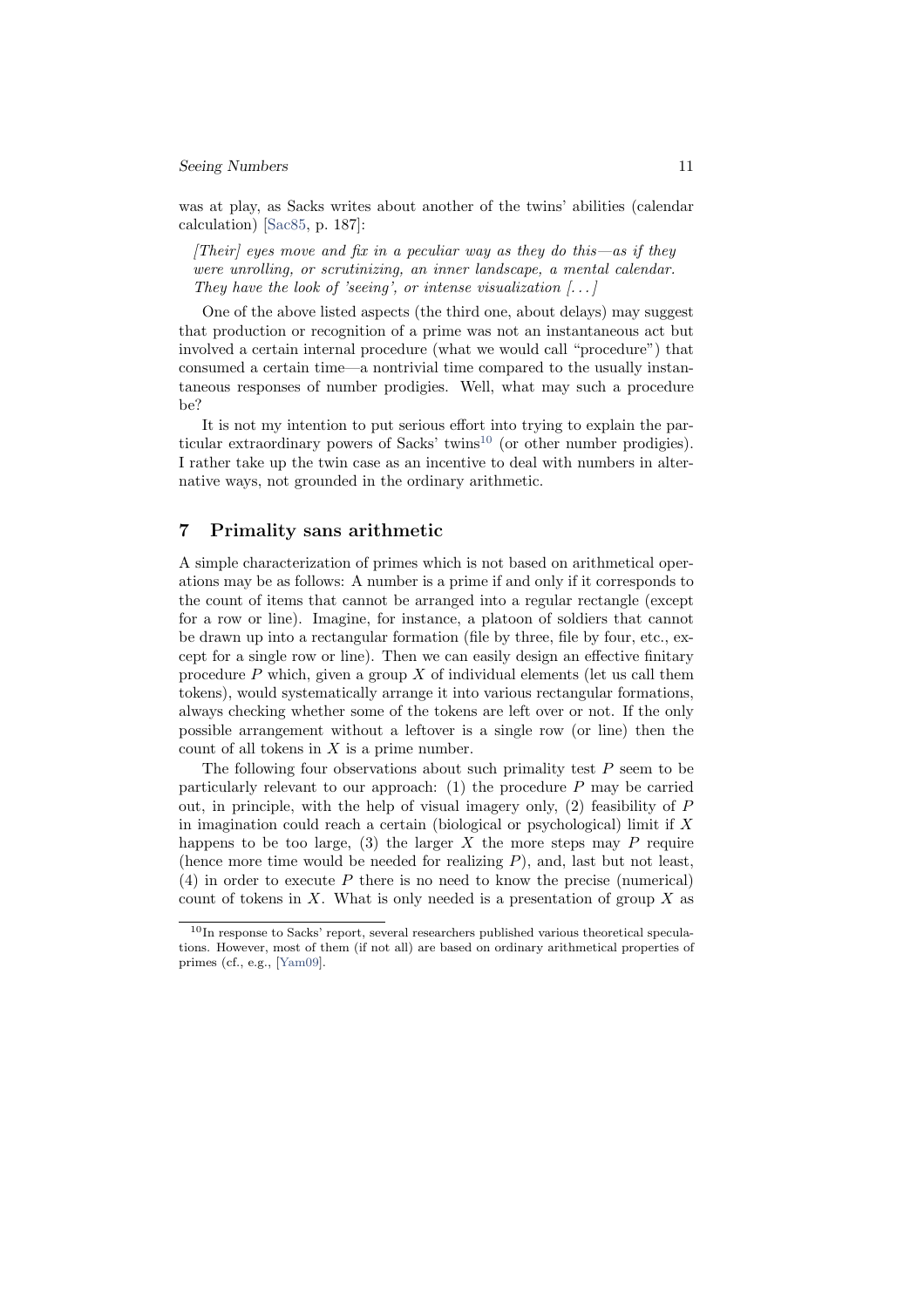was at play, as Sacks writes about another of the twins' abilities (calendar calculation) [\[Sac85,](#page-15-12) p. 187]:

 $[Their]$  eyes move and fix in a peculiar way as they do this—as if they were unrolling, or scrutinizing, an inner landscape, a mental calendar. They have the look of 'seeing', or intense visualization  $[\ldots]$ 

One of the above listed aspects (the third one, about delays) may suggest that production or recognition of a prime was not an instantaneous act but involved a certain internal procedure (what we would call "procedure") that consumed a certain time—a nontrivial time compared to the usually instantaneous responses of number prodigies. Well, what may such a procedure be?

It is not my intention to put serious effort into trying to explain the par-ticular extraordinary powers of Sacks' twins<sup>[10](#page-10-0)</sup> (or other number prodigies). I rather take up the twin case as an incentive to deal with numbers in alternative ways, not grounded in the ordinary arithmetic.

# <span id="page-10-1"></span>7 Primality sans arithmetic

A simple characterization of primes which is not based on arithmetical operations may be as follows: A number is a prime if and only if it corresponds to the count of items that cannot be arranged into a regular rectangle (except for a row or line). Imagine, for instance, a platoon of soldiers that cannot be drawn up into a rectangular formation (file by three, file by four, etc., except for a single row or line). Then we can easily design an effective finitary procedure  $P$  which, given a group  $X$  of individual elements (let us call them tokens), would systematically arrange it into various rectangular formations, always checking whether some of the tokens are left over or not. If the only possible arrangement without a leftover is a single row (or line) then the count of all tokens in  $X$  is a prime number.

The following four observations about such primality test  $P$  seem to be particularly relevant to our approach: (1) the procedure  $P$  may be carried out, in principle, with the help of visual imagery only,  $(2)$  feasibility of P in imagination could reach a certain (biological or psychological) limit if  $X$ happens to be too large, (3) the larger X the more steps may P require (hence more time would be needed for realizing  $P$ ), and, last but not least,  $(4)$  in order to execute P there is no need to know the precise (numerical) count of tokens in X. What is only needed is a presentation of group  $X$  as

<span id="page-10-0"></span> $10$ In response to Sacks' report, several researchers published various theoretical speculations. However, most of them (if not all) are based on ordinary arithmetical properties of primes (cf., e.g., [\[Yam09\]](#page-15-13).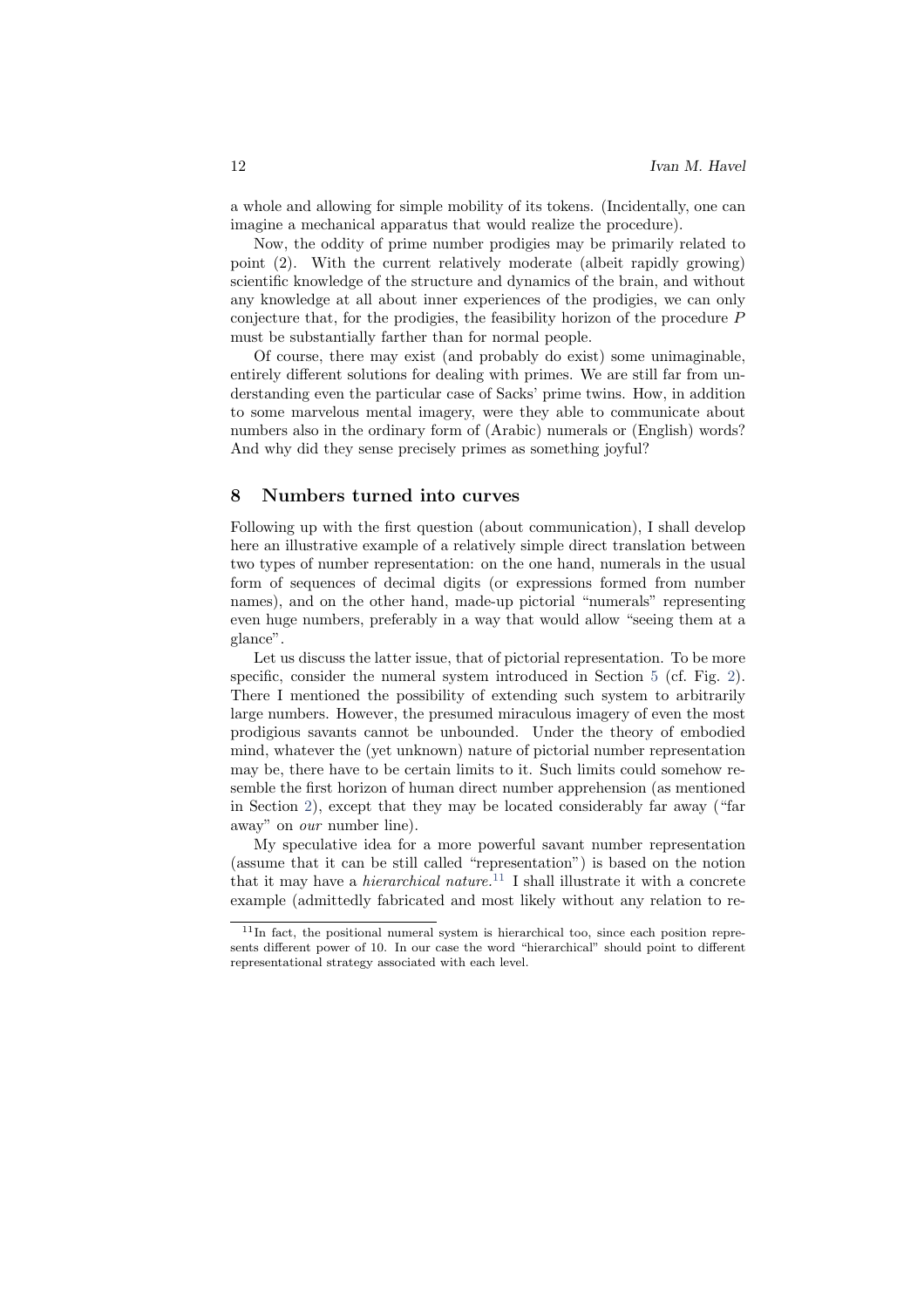a whole and allowing for simple mobility of its tokens. (Incidentally, one can imagine a mechanical apparatus that would realize the procedure).

Now, the oddity of prime number prodigies may be primarily related to point (2). With the current relatively moderate (albeit rapidly growing) scientific knowledge of the structure and dynamics of the brain, and without any knowledge at all about inner experiences of the prodigies, we can only conjecture that, for the prodigies, the feasibility horizon of the procedure P must be substantially farther than for normal people.

Of course, there may exist (and probably do exist) some unimaginable, entirely different solutions for dealing with primes. We are still far from understanding even the particular case of Sacks' prime twins. How, in addition to some marvelous mental imagery, were they able to communicate about numbers also in the ordinary form of (Arabic) numerals or (English) words? And why did they sense precisely primes as something joyful?

#### <span id="page-11-0"></span>8 Numbers turned into curves

Following up with the first question (about communication), I shall develop here an illustrative example of a relatively simple direct translation between two types of number representation: on the one hand, numerals in the usual form of sequences of decimal digits (or expressions formed from number names), and on the other hand, made-up pictorial "numerals" representing even huge numbers, preferably in a way that would allow "seeing them at a glance".

Let us discuss the latter issue, that of pictorial representation. To be more specific, consider the numeral system introduced in Section [5](#page-6-1) (cf. Fig. [2\)](#page-7-1). There I mentioned the possibility of extending such system to arbitrarily large numbers. However, the presumed miraculous imagery of even the most prodigious savants cannot be unbounded. Under the theory of embodied mind, whatever the (yet unknown) nature of pictorial number representation may be, there have to be certain limits to it. Such limits could somehow resemble the first horizon of human direct number apprehension (as mentioned in Section [2\)](#page-1-2), except that they may be located considerably far away ("far away" on our number line).

My speculative idea for a more powerful savant number representation (assume that it can be still called "representation") is based on the notion that it may have a *hierarchical nature*.<sup>[11](#page-11-1)</sup> I shall illustrate it with a concrete example (admittedly fabricated and most likely without any relation to re-

<span id="page-11-1"></span> $11$ In fact, the positional numeral system is hierarchical too, since each position represents different power of 10. In our case the word "hierarchical" should point to different representational strategy associated with each level.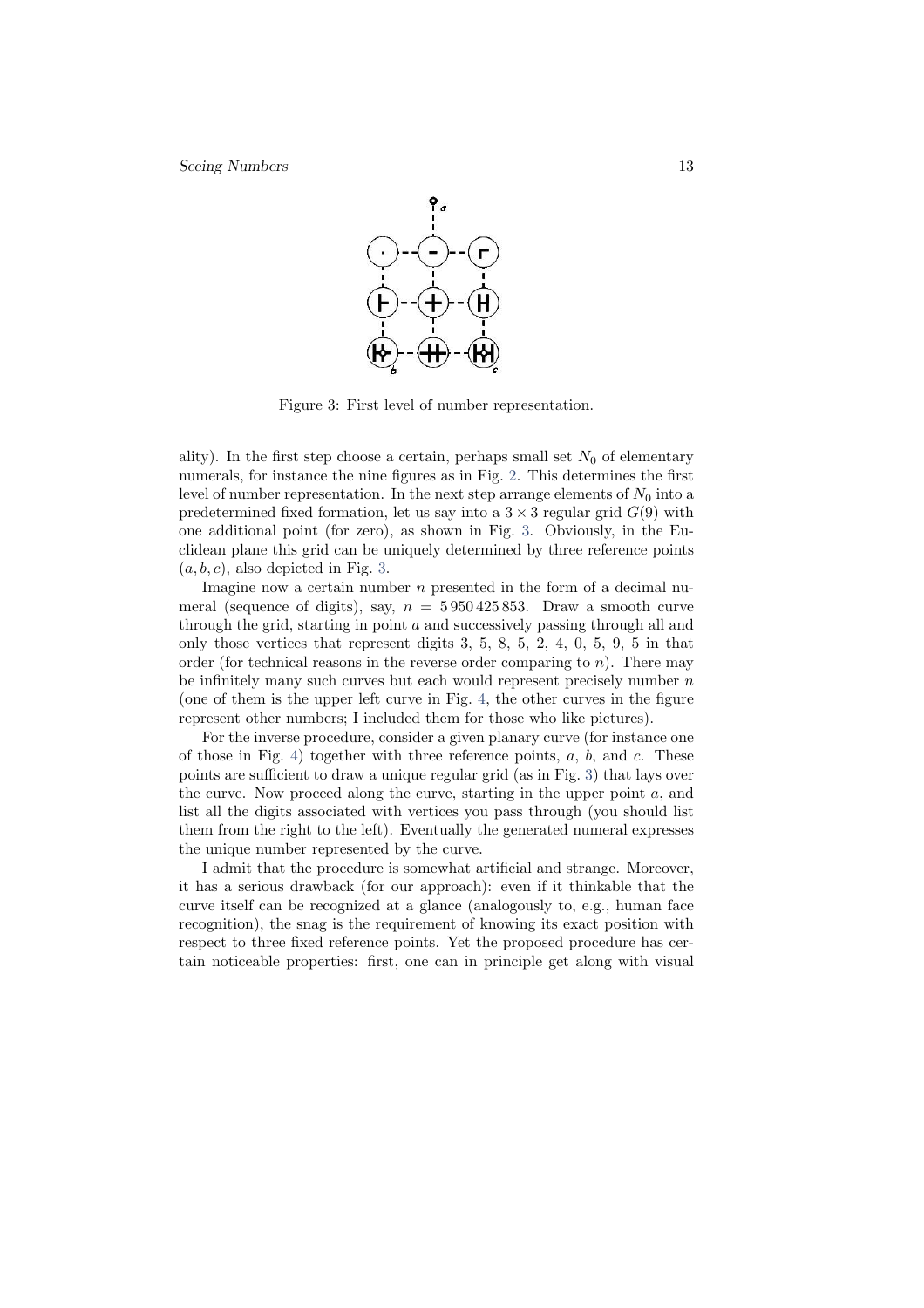

<span id="page-12-0"></span>Figure 3: First level of number representation.

ality). In the first step choose a certain, perhaps small set  $N_0$  of elementary numerals, for instance the nine figures as in Fig. [2.](#page-7-1) This determines the first level of number representation. In the next step arrange elements of  $N_0$  into a predetermined fixed formation, let us say into a  $3 \times 3$  regular grid  $G(9)$  with one additional point (for zero), as shown in Fig. [3.](#page-12-0) Obviously, in the Euclidean plane this grid can be uniquely determined by three reference points  $(a, b, c)$ , also depicted in Fig. [3.](#page-12-0)

Imagine now a certain number  $n$  presented in the form of a decimal numeral (sequence of digits), say,  $n = 5950425853$ . Draw a smooth curve through the grid, starting in point  $a$  and successively passing through all and only those vertices that represent digits 3, 5, 8, 5, 2, 4, 0, 5, 9, 5 in that order (for technical reasons in the reverse order comparing to  $n$ ). There may be infinitely many such curves but each would represent precisely number  $n$ (one of them is the upper left curve in Fig. [4,](#page-13-0) the other curves in the figure represent other numbers; I included them for those who like pictures).

For the inverse procedure, consider a given planary curve (for instance one of those in Fig. [4\)](#page-13-0) together with three reference points,  $a, b$ , and  $c$ . These points are sufficient to draw a unique regular grid (as in Fig. [3\)](#page-12-0) that lays over the curve. Now proceed along the curve, starting in the upper point a, and list all the digits associated with vertices you pass through (you should list them from the right to the left). Eventually the generated numeral expresses the unique number represented by the curve.

I admit that the procedure is somewhat artificial and strange. Moreover, it has a serious drawback (for our approach): even if it thinkable that the curve itself can be recognized at a glance (analogously to, e.g., human face recognition), the snag is the requirement of knowing its exact position with respect to three fixed reference points. Yet the proposed procedure has certain noticeable properties: first, one can in principle get along with visual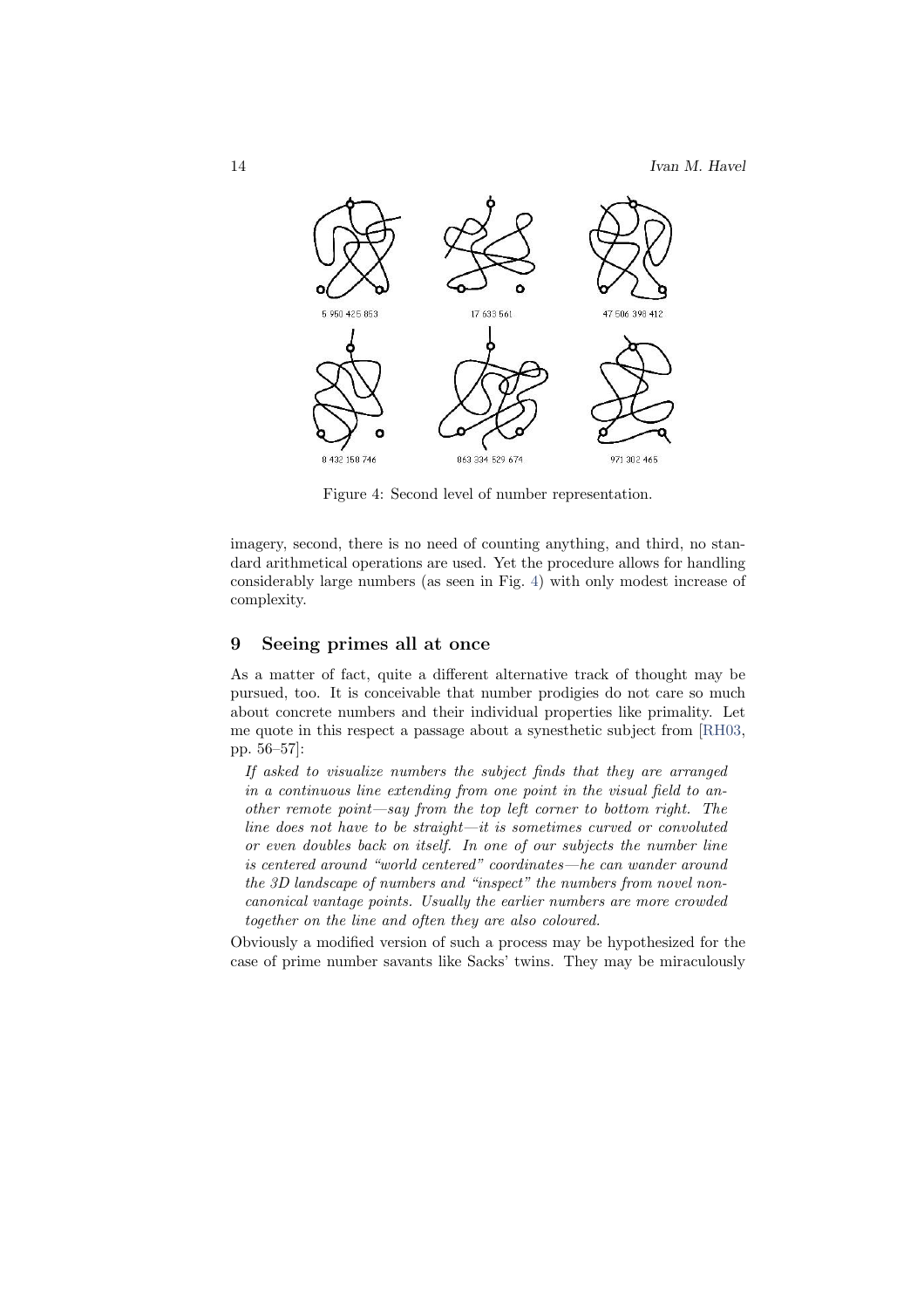

<span id="page-13-0"></span>Figure 4: Second level of number representation.

imagery, second, there is no need of counting anything, and third, no standard arithmetical operations are used. Yet the procedure allows for handling considerably large numbers (as seen in Fig. [4\)](#page-13-0) with only modest increase of complexity.

# 9 Seeing primes all at once

As a matter of fact, quite a different alternative track of thought may be pursued, too. It is conceivable that number prodigies do not care so much about concrete numbers and their individual properties like primality. Let me quote in this respect a passage about a synesthetic subject from [\[RH03,](#page-15-11) pp. 56–57]:

If asked to visualize numbers the subject finds that they are arranged in a continuous line extending from one point in the visual field to another remote point—say from the top left corner to bottom right. The line does not have to be straight—it is sometimes curved or convoluted or even doubles back on itself. In one of our subjects the number line is centered around "world centered" coordinates—he can wander around the 3D landscape of numbers and "inspect" the numbers from novel noncanonical vantage points. Usually the earlier numbers are more crowded together on the line and often they are also coloured.

Obviously a modified version of such a process may be hypothesized for the case of prime number savants like Sacks' twins. They may be miraculously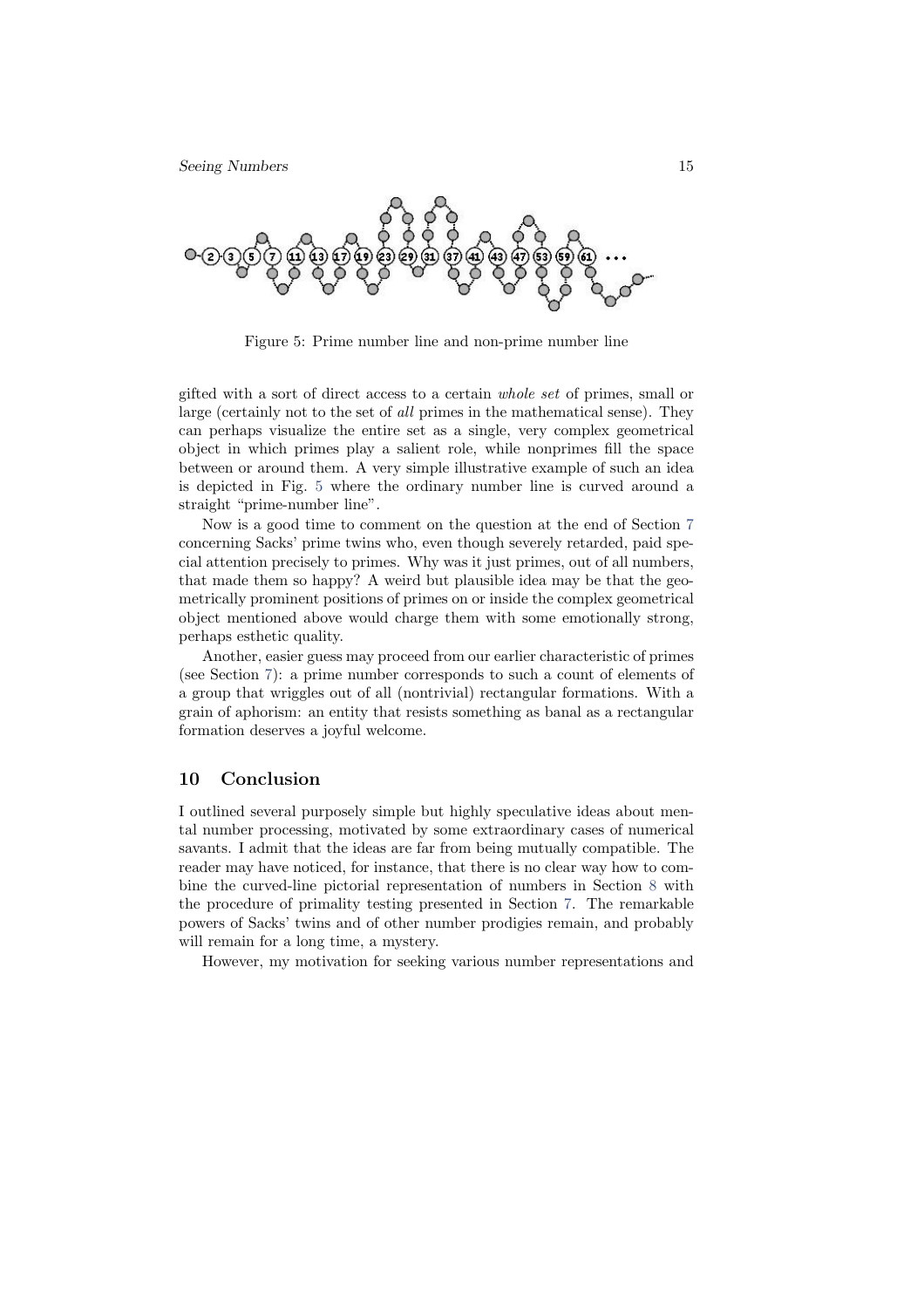

<span id="page-14-0"></span>Figure 5: Prime number line and non-prime number line

gifted with a sort of direct access to a certain whole set of primes, small or large (certainly not to the set of all primes in the mathematical sense). They can perhaps visualize the entire set as a single, very complex geometrical object in which primes play a salient role, while nonprimes fill the space between or around them. A very simple illustrative example of such an idea is depicted in Fig. [5](#page-14-0) where the ordinary number line is curved around a straight "prime-number line".

Now is a good time to comment on the question at the end of Section [7](#page-10-1) concerning Sacks' prime twins who, even though severely retarded, paid special attention precisely to primes. Why was it just primes, out of all numbers, that made them so happy? A weird but plausible idea may be that the geometrically prominent positions of primes on or inside the complex geometrical object mentioned above would charge them with some emotionally strong, perhaps esthetic quality.

Another, easier guess may proceed from our earlier characteristic of primes (see Section [7\)](#page-10-1): a prime number corresponds to such a count of elements of a group that wriggles out of all (nontrivial) rectangular formations. With a grain of aphorism: an entity that resists something as banal as a rectangular formation deserves a joyful welcome.

### 10 Conclusion

I outlined several purposely simple but highly speculative ideas about mental number processing, motivated by some extraordinary cases of numerical savants. I admit that the ideas are far from being mutually compatible. The reader may have noticed, for instance, that there is no clear way how to combine the curved-line pictorial representation of numbers in Section [8](#page-11-0) with the procedure of primality testing presented in Section [7.](#page-10-1) The remarkable powers of Sacks' twins and of other number prodigies remain, and probably will remain for a long time, a mystery.

However, my motivation for seeking various number representations and